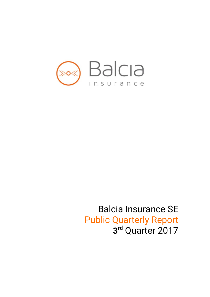

# Balcia Insurance SE Public Quarterly Report **3rd** Quarter 2017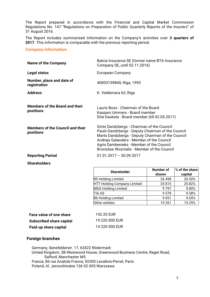The Report prepared in accordance with the Financial and Capital Market Commission Regulations No. 147 "Regulations on Preparation of Public Quarterly Reports of the Insurers" of 31 August 2016.

The Report includes summarised information on the Company's activities over **3 quarters of 2017**. This information is comparable with the previous reporting period.

#### **Company information**

| <b>Name of the Company</b>                           | Balcia Insurance SE (former name BTA Insurance<br>Company SE, until 02.11.2016)                                                                                                                                                                                                              |
|------------------------------------------------------|----------------------------------------------------------------------------------------------------------------------------------------------------------------------------------------------------------------------------------------------------------------------------------------------|
| Legal status                                         | European Company                                                                                                                                                                                                                                                                             |
| Number, place and date of<br>registration            | 40003159840, Riga, 1993                                                                                                                                                                                                                                                                      |
| <b>Address</b>                                       | K. Valdemara 63, Riga                                                                                                                                                                                                                                                                        |
| <b>Members of the Board and their</b><br>positions   | Lauris Boss - Chairman of the Board<br>Kaspars Ummers - Board member<br>Dita Daukste - Board member (till 02.05.2017)                                                                                                                                                                        |
| <b>Members of the Council and their</b><br>positions | Gints Dandzbergs - Chairman of the Council<br>Pauls Dandzbergs - Deputy Chairman of the Council<br>Marts Dandzbergs - Deputy Chairman of the Council<br>Andrejs Galanders - Member of the Council<br>Agris Dambenieks - Member of the Council<br>Bronislaw Woznialis - Member of the Council |
| <b>Reporting Period</b>                              | $01.01.2017 - 30.09.2017$                                                                                                                                                                                                                                                                    |

**Shareholders**

| $1.01.2017 - 30.09.2017$ |
|--------------------------|
|                          |

| <b>Shareholder</b>                 | <b>Number of</b><br>shares | % of the share<br>capital |
|------------------------------------|----------------------------|---------------------------|
| <b>B5 Holding Limited</b>          | 26 498                     | 26.50%                    |
| <b>HTT Holding Company Limited</b> | 25815                      | 25.82%                    |
| <b>MDA Holding Limited</b>         | 9797                       | 9.80%                     |
| <b>TIA AS</b>                      | 9578                       | 9.58%                     |
| <b>B6 Holding Limited</b>          | 9051                       | 9.05%                     |
| Other entities                     | 19 261                     | 19.25%                    |

| Face value of one share         | 142.20 EUR     |
|---------------------------------|----------------|
| <b>Subscribed share capital</b> | 14 220 000 EUR |
| Paid-up share capital           | 14 220 000 EUR |

### **Foreign branches**

Germany, Senefelderstr. 17, 63322 Rödermark United Kingdom, 3B Westwood House, Greenwood Business Centre, Reget Road, Salford, Manchester M5 France, 86 rue Anatole France, 92300 Levallois-Perret, Paris Poland, Al. Jerozolimskie 136 02-305 Warszawa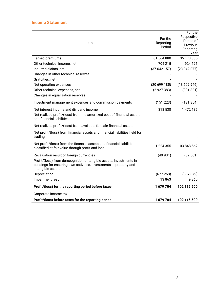| Item                                                                                                                                                           | For the<br>Reporting<br>Period | For the<br>Respective<br>Period of<br>Previous<br>Reporting<br>Year |
|----------------------------------------------------------------------------------------------------------------------------------------------------------------|--------------------------------|---------------------------------------------------------------------|
| Earned premiums                                                                                                                                                | 61 564 880                     | 35 173 335                                                          |
| Other technical income, net                                                                                                                                    | 705 215                        | 924 191                                                             |
| Incurred claims, net                                                                                                                                           | (37642157)                     | (23942077)                                                          |
| Changes in other technical reserves                                                                                                                            |                                |                                                                     |
| Gratuities, net                                                                                                                                                |                                |                                                                     |
| Net operating expenses                                                                                                                                         | (20699185)                     | (13609946)                                                          |
| Other technical expenses, net                                                                                                                                  | (2927383)                      | (981321)                                                            |
| Changes in equalization reserves                                                                                                                               |                                |                                                                     |
| Investment management expenses and commission payments                                                                                                         | (151 223)                      | (131854)                                                            |
| Net interest income and dividend income                                                                                                                        | 318 538                        | 1 472 185                                                           |
| Net realized profit/(loss) from the amortized cost of financial assets<br>and financial liabilities                                                            |                                |                                                                     |
| Net realized profit/(loss) from available for sale financial assets                                                                                            |                                |                                                                     |
| Net profit/(loss) from financial assets and financial liabilities held for<br>trading                                                                          |                                |                                                                     |
| Net profit/(loss) from the financial assets and financial liabilities<br>classified at fair value through profit and loss                                      | 1 224 355                      | 103 848 562                                                         |
| Revaluation result of foreign currencies                                                                                                                       | (49931)                        | (89 561)                                                            |
| Profit/(loss) from derecognition of tangible assets, investments in<br>buildings for ensuring own activities, investments in property and<br>intangible assets |                                |                                                                     |
| Depreciation                                                                                                                                                   | (677268)                       | (557379)                                                            |
| Impairment result                                                                                                                                              | 13863                          | 9 3 6 5                                                             |
| Profit/(loss) for the reporting period before taxes                                                                                                            | 1679704                        | 102 115 500                                                         |
| Corporate income tax                                                                                                                                           |                                |                                                                     |
| Profit/(loss) before taxes for the reporting period                                                                                                            | 1679704                        | 102 115 500                                                         |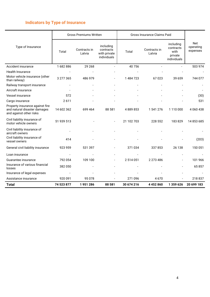# **Indicators by Type of Insurance**

l.

|                                                                                            | <b>Gross Premiums Written</b> |                        |                                                       | Gross Insurance Claims Paid |                        |                                                          |                              |
|--------------------------------------------------------------------------------------------|-------------------------------|------------------------|-------------------------------------------------------|-----------------------------|------------------------|----------------------------------------------------------|------------------------------|
| Type of Insurance                                                                          | Total                         | Contracts in<br>Latvia | including<br>contracts<br>with private<br>individuals | Total                       | Contracts in<br>Latvia | including<br>contracts<br>with<br>private<br>individuals | Net<br>operating<br>expenses |
| Accident insurance                                                                         | 1682886                       | 29 268                 |                                                       | 40756                       |                        |                                                          | 503 974                      |
| Health Insurance                                                                           |                               |                        |                                                       |                             |                        |                                                          |                              |
| Motor vehicle insurance (other<br>than railway)                                            | 3 277 365                     | 486 979                |                                                       | 1 484 723                   | 67023                  | 39 659                                                   | 744 077                      |
| Railway transport insurance                                                                |                               |                        |                                                       |                             |                        |                                                          |                              |
| Aircraft insurance                                                                         |                               |                        |                                                       |                             |                        |                                                          |                              |
| <b>Vessel insurance</b>                                                                    | 572                           |                        |                                                       |                             |                        |                                                          | (30)                         |
| Cargo insurance                                                                            | 2611                          |                        |                                                       |                             |                        |                                                          | 531                          |
| Property insurance against fire<br>and natural disaster damages<br>and against other risks | 14 602 362                    | 699 464                | 88 581                                                | 4889853                     | 1 541 276              | 1110000                                                  | 4 0 6 0 4 3 8                |
| Civil liability insurance of<br>motor vehicle owners                                       | 51 939 513                    |                        |                                                       | 21 102 703                  | 228 552                | 183829                                                   | 14 853 685                   |
| Civil liability insurance of<br>aircraft owners                                            |                               |                        |                                                       |                             |                        |                                                          |                              |
| Civil liability insurance of<br>vessel owners                                              | 414                           |                        |                                                       |                             |                        |                                                          | (203)                        |
| General civil liability insurance                                                          | 923 959                       | 531 397                |                                                       | 371 034                     | 337853                 | 26 138                                                   | 150 051                      |
| Loan insurance                                                                             |                               |                        |                                                       |                             |                        |                                                          |                              |
| Guarantee insurance                                                                        | 792 054                       | 109 100                |                                                       | 2 514 051                   | 2 273 486              |                                                          | 101 966                      |
| Insurance of various financial<br>losses                                                   | 382 050                       |                        |                                                       |                             |                        |                                                          | 65857                        |
| Insurance of legal expenses                                                                |                               |                        |                                                       |                             |                        |                                                          |                              |
| Assistance insurance                                                                       | 920 091                       | 95 0 78                |                                                       | 271 096                     | 4670                   |                                                          | 218 837                      |
| <b>Total</b>                                                                               | 74 523 877                    | 1951286                | 88 581                                                | 30 674 216                  | 4 4 5 2 8 6 0          | 1 359 626                                                | 20 699 183                   |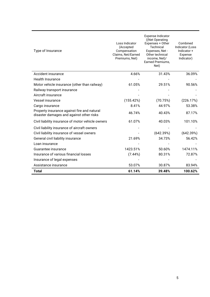| Type of Insurance                                                                       | Loss Indicator<br>(Accepted<br>Compensation<br>Claims, Net/Earned<br>Premiums, Net) | Expense Indicator<br>((Net Operating)<br>Expenses + Other<br>Technical<br>Expenses, Net -<br>Other technical<br>income, Net)/<br>Earned Premiums,<br>Net) | Combined<br>Indicator (Loss<br>Indicator+<br>Expense<br>Indicator) |
|-----------------------------------------------------------------------------------------|-------------------------------------------------------------------------------------|-----------------------------------------------------------------------------------------------------------------------------------------------------------|--------------------------------------------------------------------|
| Accident insurance                                                                      | 4.66%                                                                               | 31.43%                                                                                                                                                    | 36.09%                                                             |
| <b>Health Insurance</b>                                                                 |                                                                                     |                                                                                                                                                           |                                                                    |
| Motor vehicle insurance (other than railway)                                            | 61.05%                                                                              | 29.51%                                                                                                                                                    | 90.56%                                                             |
| Railway transport insurance                                                             |                                                                                     |                                                                                                                                                           |                                                                    |
| Aircraft insurance                                                                      |                                                                                     |                                                                                                                                                           |                                                                    |
| Vessel insurance                                                                        | (155.42%)                                                                           | (70.75%)                                                                                                                                                  | (226.17%)                                                          |
| Cargo insurance                                                                         | 8.41%                                                                               | 44.97%                                                                                                                                                    | 53.38%                                                             |
| Property insurance against fire and natural<br>disaster damages and against other risks | 46.74%                                                                              | 40.43%                                                                                                                                                    | 87.17%                                                             |
| Civil liability insurance of motor vehicle owners                                       | 61.07%                                                                              | 40.03%                                                                                                                                                    | 101.10%                                                            |
| Civil liability insurance of aircraft owners                                            |                                                                                     |                                                                                                                                                           |                                                                    |
| Civil liability insurance of vessel owners                                              |                                                                                     | (642.39%)                                                                                                                                                 | (642.39%)                                                          |
| General civil liability insurance                                                       | 21.69%                                                                              | 34.73%                                                                                                                                                    | 56.42%                                                             |
| Loan insurance                                                                          |                                                                                     |                                                                                                                                                           |                                                                    |
| Guarantee insurance                                                                     | 1423.51%                                                                            | 50.60%                                                                                                                                                    | 1474.11%                                                           |
| Insurance of various financial losses                                                   | (7.44%)                                                                             | 80.31%                                                                                                                                                    | 72.87%                                                             |
| Insurance of legal expenses                                                             |                                                                                     |                                                                                                                                                           |                                                                    |
| Assistance insurance                                                                    | 53.07%                                                                              | 30.87%                                                                                                                                                    | 83.94%                                                             |
| Total                                                                                   | 61.14%                                                                              | 39.48%                                                                                                                                                    | 100.62%                                                            |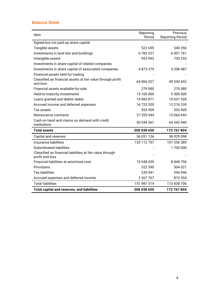# **Balance Sheet**

| Item                                                                         | Reporting<br>Period | Previous<br><b>Reporting Period</b> |
|------------------------------------------------------------------------------|---------------------|-------------------------------------|
| Signed but not paid-up share capital                                         |                     |                                     |
| Tangible assets                                                              | 522 655             | 540 356                             |
| Investments in land lots and buildings                                       | 6783227             | 6 901 761                           |
| Intangible assets                                                            | 953 092             | 730 253                             |
| Investments in share capital of related companies                            |                     |                                     |
| Investments in share capital of associated companies                         | 4873279             | 5 208 487                           |
| Financial assets held for trading                                            |                     |                                     |
| Classified as financial assets at fair value through profit<br>and loss      | 64 866 027          | 49 540 652                          |
| Financial assets available-for-sale                                          | 279 080             | 279 080                             |
| Held-to-maturity investments                                                 | 15 100 000          | 5 500 000                           |
| Loans granted and debtor debts                                               | 19 983 871          | 10 631 928                          |
| Accrued income and deferred expenses                                         | 16 723 205          | 13 274 239                          |
| Tax assets                                                                   | 553 909             | 553 909                             |
| Reinsurance contracts                                                        | 27 355 944          | 15 064 693                          |
| Cash on hand and claims on demand with credit<br>institutions                | 50 044 361          | 64 542 446                          |
| <b>Total assets</b>                                                          | 208 038 650         | 172 767 804                         |
| Capital and reserves                                                         | 56 051 136          | 58 929 098                          |
| Insurance liabilities                                                        | 133 112 757         | 101 556 389                         |
| <b>Subordinated liabilities</b>                                              |                     | 1700 000                            |
| Classified as financial liabilities at fair value through<br>profit and loss |                     |                                     |
| Financial liabilities at amortized cost                                      | 15 948 659          | 8 848 796                           |
| Provisions                                                                   | 322 390             | 304 021                             |
| <b>Tax liabilities</b>                                                       | 235 941             | 554 946                             |
| Accrued expenses and deferred income                                         | 2 367 767           | 874 554                             |
| <b>Total liabilities</b>                                                     | 151 987 514         | 113 838 706                         |
| <b>Total capital and reserves, and liabilities</b>                           | 208 038 650         | 172 767 804                         |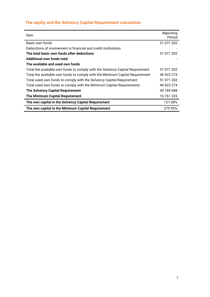# **The equity and the Solvency Capital Requirement calculation**

| ltem                                                                          | Reporting<br>Period |
|-------------------------------------------------------------------------------|---------------------|
| Basic own funds                                                               | 51 071 202          |
| Deductions of involvement in financial and credit institutions                |                     |
| The total basic own funds after deductions                                    | 51 071 202          |
| Additional own funds total                                                    |                     |
| The available and used own funds                                              |                     |
| Total the available own funds to comply with the Solvency Capital Requirement | 51 071 202          |
| Total the available own funds to comply with the Minimum Capital Requirement  | 46 923 274          |
| Total used own funds to comply with the Solvency Capital Requirement          | 51 071 202          |
| Total used own funds to comply with the Minimum Capital Requirements          | 46 923 274          |
| <b>The Solvency Capital Requirement</b>                                       | 40 189 688          |
| The Minimum Capital Requirement                                               | 16 761 335          |
| The own capital in the Solvency Capital Requirement                           | 127.08%             |
| The own capital in the Minimum Capital Requirement                            | 279.95%             |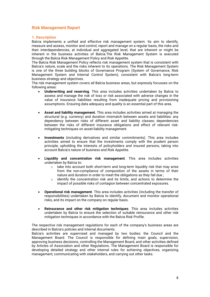# **Risk Management Report**

#### **1. Description**

Balcia implements a unified and effective risk management system. Its aim to identify, measure and assess, monitor and control, report and manage on a regular basis, the risks and their interdependencies, at individual and aggregated level, that are inherent or might be inherent in the business activities of Balcia.The Risk Management System is executed through the Balcia Risk Management Policy and Risk Appetite.

The Balcia Risk Management Policy reflects risk management system that is consistent with Balcia's nature, scale and the risks inherent to its operations. The Risk Management System is one of the three building blocks of Governance Program (System of Governance, Risk Management System and Internal Control System), consistent with Balcia's long-term business strategy and objectives.

The risk management system covers all Balcia business areas, but expressly focusses on the following areas:

- **Underwriting and reserving**. This area includes activities undertaken by Balcia to assess and manage the risk of loss or risk associated with adverse changes in the value of insurance liabilities resulting from inadequate pricing and provisioning assumptions. Ensuring data adequacy and quality is an essential part of this area.
- **Asset and liability management.** This area includes activities aimed at managing the structural (e.g. currency) and duration mismatch between assets and liabilities: any dependency between risks of different asset and liability classes; dependencies between the risks of different insurance obligations and effect of relevant riskmitigating techniques on asset-liability management.
- **Investments** (including derivatives and similar commitments). This area includes activities aimed to ensure that the investments comply with the prudent person principle, upholding the interests of policyholders and insured persons, taking into account Balcia's nature of business and Risk Appetite.
- **Liquidity and concentration risk management**. This area includes activities undertaken by Balcia to:
	- o take into account both short-term and long-term liquidity risk that may arise from the non-compliance of composition of the assets in terms of their nature and duration in order to meet the obligations as they fall due ;
	- $\circ$  identify the concentration risk and its limits, and actions to determine the impact of possible risks of contagion between concentrated exposures.
- **Operational risk management**. This area includes activities (including the transfer of responsibilities) undertaken by Balcia to identify, document and monitor operational risks, and its impact on the company on regular basis.
- **Reinsurance and other risk mitigation techniques**. This area includes activities undertaken by Balcia to ensure the selection of suitable reinsurance and other risk mitigation techniques in accordance with the Balcia Risk Profile.

The respective risk management regulations for each of the company's business areas are described in Balcia's policies and internal documents.

Balcia's activities are supervised and managed by two bodies: the Council and the Management Board. The Council is responsible for defining main goals, supervision, approving business decisions, controlling the Management Board, and other activities defined by Articles of Association and other Regulations. The Management Board is responsible for developing detailed strategy and other internal rules for achieving objectives, organizing management, communicating with stakeholders, and carrying out other tasks.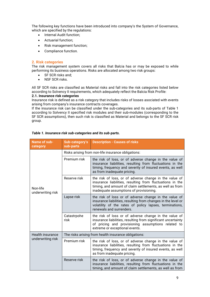The following key functions have been introduced into company's the System of Governance, which are specified by the regulations:

- Internal Audit function;
- Actuarial function;
- Risk management function;
- Compliance function.

#### **2. Risk categories**

The risk management system covers all risks that Balcia has or may be exposed to while performing its business operations. Risks are allocated among two risk groups:

- SF SCR risks and;
- NSF SCR risks.

All SF SCR risks are classified as Material risks and fall into the risk categories listed below according to Solvency II requirements, which adequately reflect the Balcia Risk Profile:

#### **2.1. Insurance risk categories**

Insurance risk is defined as a risk category that includes risks of losses asociated with events arising from company's insurance contracts coverages.

If the insurance risk can be classified under the sub-categories and its sub-parts of Table 1 according to Solvency II specified risk modules and their sub-modules (corresponding to the SF SCR assumptions), then such risk is classified as Material and belongs to the SF SCR risk group.

| <b>Name of sub-</b><br>category | Sub-category's<br>sub-parts                        | <b>Description - Causes of risks</b>                                                                                                                                                                                       |  |  |
|---------------------------------|----------------------------------------------------|----------------------------------------------------------------------------------------------------------------------------------------------------------------------------------------------------------------------------|--|--|
|                                 | Risks arising from non-life insurance obligations: |                                                                                                                                                                                                                            |  |  |
| Non-life<br>underwriting risk   | Premium risk                                       | the risk of loss, or of adverse change in the value of<br>insurance liabilities, resulting from fluctuations in the<br>timing, frequency and severity of insured events, as well<br>as from inadequate pricing.            |  |  |
|                                 | Reserve risk                                       | the risk of loss, or of adverse change in the value of<br>insurance liabilities, resulting from fluctuations in the<br>timing, and amount of claim settlements, as well as from<br>inadequate assumptions of provisioning. |  |  |
|                                 | Lapse risk                                         | the risk of loss or of adverse change in the value of<br>insurance liabilities, resulting from changes in the level or<br>volatility of the rates of policy lapses, terminations,<br>renewals and surrenders.              |  |  |
|                                 | Catastrpohe<br>risk                                | the risk of loss or of adverse change in the value of<br>insurance liabilities, resulting from significant uncertainty<br>of pricing and provisioning assumptions related to<br>extreme or exceptional events.             |  |  |
| <b>Health insurance</b>         |                                                    | The risks arising from health insurance obligations:                                                                                                                                                                       |  |  |
| underwriting risk               | Premium risk                                       | the risk of loss, or of adverse change in the value of<br>insurance liabilities, resulting from fluctuations in the<br>timing, frequency and severity of insured events, as well<br>as from inadequate pricing.            |  |  |
|                                 | Reserve risk                                       | the risk of loss, or of adverse change in the value of<br>insurance liabilities, resulting from fluctuations in the<br>timing, and amount of claim settlements, as well as from                                            |  |  |

#### *Table 1. Insurance risk sub-categories and its sub-parts.*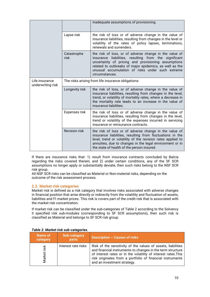|                                     |                                                    | inadequate assumptions of provisioning.                                                                                                                                                                                                                                                                    |  |
|-------------------------------------|----------------------------------------------------|------------------------------------------------------------------------------------------------------------------------------------------------------------------------------------------------------------------------------------------------------------------------------------------------------------|--|
|                                     | Lapse risk                                         | the risk of loss or of adverse change in the value of<br>insurance liabilities, resulting from changes in the level or<br>volatility of the rates of policy lapses, terminations,<br>renewals and surrenders.                                                                                              |  |
|                                     | Catastrophe<br>risk                                | the risk of loss, or of adverse change in the value of<br>liabilities, resulting from the significant<br>insurance<br>uncertainty of pricing and provisioning assumptions<br>related to outbreaks of major epidemics, as well as the<br>unusual accumulation of risks under such extreme<br>circumstances. |  |
| Life insurance<br>underwriting risk | The risks arising from life insurance obligations: |                                                                                                                                                                                                                                                                                                            |  |
|                                     | Longevity risk                                     | the risk of loss, or of adverse change in the value of<br>insurance liabilities, resulting from changes in the level,<br>trend, or volatility of mortality rates, where a decrease in<br>the mortality rate leads to an increase in the value of<br>insurance liabilities.                                 |  |
|                                     | Expenses risk                                      | the risk of loss or of adverse change in the value of<br>insurance liabilities, resulting from changes in the level,<br>trend or volatility of the expenses incurred in servicing<br>insurance or reinsurance contracts.                                                                                   |  |
|                                     | <b>Revision risk</b>                               | the risk of loss or of adverse change in the value of<br>insurance liabilities, resulting from fluctuations in the<br>level, trend or volatility of the revision rates applied to<br>annuities, due to changes in the legal environment or in<br>the state of health of the person insured.                |  |

If there are insurance risks that: 1) result from insurance contracts concluded by Balcia regarding the risks covered therein, and 2) under certain conditions, any of the SF SCR assumptions no longer apply or substantially deviate, then such risks belong to the NSF SCR risk group.

All NSF SCR risks can be classified as Material or Non-material risks, depending on the outcome of the risk assessment process.

#### **2.2. Market risk categories**

Market risk is defined as a risk category that involves risks associated with adverse changes in financial position that arise directly or indirectly from the volatility and fluctuation of assets, liabilities and FI market prices. This risk is covers part of the credit risk that is associated with the market risk concentration.

If market risk can be classified under the sub-categories of Table 2 according to the Solvency II specified risk sub-modules (corresponding to SF SCR assumptions), then such risk is classified as Material and belongs to SF SCR risk group.

| Name of<br>category | <b>Sub-category</b><br><b>parts</b> | Description - Causes of risks                                                                                                                                                                                                                                                            |
|---------------------|-------------------------------------|------------------------------------------------------------------------------------------------------------------------------------------------------------------------------------------------------------------------------------------------------------------------------------------|
| risk<br>Market      | Interest rate risks                 | Risk of the sensitivity of the values of assets, liabilities<br>and financial instruments to changes in the term structure<br>of interest rates or in the volatility of interest rates. This<br>risk originates from a portfolio of financial instruments<br>and an investment strategy. |

#### *Table 2. Market risk sub-categories.*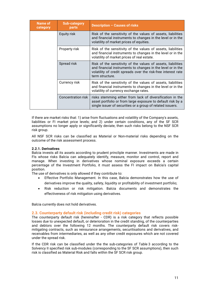| Name of<br>category | <b>Sub-category</b><br>parts | <b>Description - Causes of risks</b>                                                                                                                                                                            |
|---------------------|------------------------------|-----------------------------------------------------------------------------------------------------------------------------------------------------------------------------------------------------------------|
|                     | Equity risk                  | Risk of the sensitivity of the values of assets, liabilities<br>and financial instruments to changes in the level or in the<br>volatility of market prices of equities.                                         |
|                     | Property risk                | Risk of the sensitivity of the values of assets, liabilities<br>and financial instruments to changes in the level or in the<br>volatility of market prices of real estate.                                      |
|                     | Spread risk                  | Risk of the sensitivity of the values of assets, liabilities<br>and financial instruments to changes in the level or in the<br>volatility of credit spreads over the risk-free interest rate<br>term structure. |
|                     | Currency risk                | Risk of the sensitivity of the values of assets, liabilities<br>and financial instruments to changes in the level or in the<br>volatility of currency exchange rates.                                           |
|                     | <b>Concentration risk</b>    | risks stemming either from lack of diversification in the<br>asset portfolio or from large exposure to default risk by a<br>single issuer of securities or a group of related issuers.                          |

If there are market risks that: 1) arise from fluctuations and volatility of the Company's assets, liabilities or FI market price levels; and 2) under certain conditions, any of the SF SCR assumptions no longer apply or significantly deviate, then such risks belong to the NSF SCR risk group.

All NSF SCR risks can be classified as Material or Non-material risks depending on the outcome of the risk assessment process.

#### **2.2.1. Derivatives**

Balcia invests all its assets according to prudent princliple manner. Investments are made in FIs whose risks Balcia can adequately identify, measure, monitor and control, report and manage. When investing in derivatives whose nominal exposure exceeds a certain percentage of the Investment Portfolio, it must assess the FI impact on Balcia's capital position.

The use of derivatives is only allowed if they contribute to:

- Effective Portfolio Management. In this case, Balcia demonstrates how the use of derivatives improve the quality, safety, liquidity or profitability of investment portfolio;
- Risk reduction or risk mitigation. Balcia documents and demonstrates the effectiveness of risk mitigation using derivatives.

Balcia currently does not hold derivatives.

#### **2.3. Counterparty default risk (including credit risk) categories**

The counterparty default risk (hereinafter - CDR) is a risk category that reflects possible losses due to unexpected default, or deterioration in the credit standing, of the counterparties and debtors over the following 12 months. The counterparty default risk covers riskmitigating contracts, such as reinsurance arrangements, securitisations and derivatives, and receivables from intermediaries, as well as any other credit exposures which are not covered under the spread risk.

If the CDR risk can be classified under the the sub-categories of Table 3 according to the Solvency II specified risk sub-modules (corresponding to the SF SCR assumptions), then such risk is classified as Material Risk and falls within the SF SCR risk group.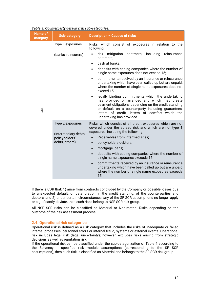| <b>Name of</b><br>category | <b>Sub-category</b>                                      | <b>Description - Causes of risks</b>                                                                                                                                                                                                                                                             |  |  |
|----------------------------|----------------------------------------------------------|--------------------------------------------------------------------------------------------------------------------------------------------------------------------------------------------------------------------------------------------------------------------------------------------------|--|--|
|                            | Type 1 exposures                                         | Risks, which consist of exposures in relation to the<br>following:                                                                                                                                                                                                                               |  |  |
|                            | (banks, reinsurers)                                      | risk mitigation contracts,<br>including<br>reinsurance<br>contracts:                                                                                                                                                                                                                             |  |  |
|                            |                                                          | cash at banks:<br>$\bullet$                                                                                                                                                                                                                                                                      |  |  |
| CDR                        |                                                          | deposits with ceding companies where the number of<br>single name exposures does not exceed 15;                                                                                                                                                                                                  |  |  |
|                            |                                                          | commitments received by an insurance or reinsurance<br>$\bullet$<br>undertaking which have been called up but are unpaid,<br>where the number of single name exposures does not<br>exceed 15;                                                                                                    |  |  |
|                            |                                                          | legally binding commitments which the undertaking<br>has provided or arranged and which may create<br>payment obligations depending on the credit standing<br>or default on a counterparty including guarantees,<br>letters of credit, letters of comfort which the<br>undertaking has provided. |  |  |
|                            | Type 2 exposures                                         | Risks, which consist of all credit exposures which are not<br>covered under the spread risk and which are not type 1<br>exposures, including the following:                                                                                                                                      |  |  |
|                            | (intermediary debts,<br>policyholders'<br>debts, others) | Receivables from intermediaries;                                                                                                                                                                                                                                                                 |  |  |
|                            |                                                          | policyholders debtors;<br>$\bullet$                                                                                                                                                                                                                                                              |  |  |
|                            |                                                          | mortgage loans;<br>$\bullet$                                                                                                                                                                                                                                                                     |  |  |
|                            |                                                          | deposits with ceding companies where the number of<br>$\bullet$<br>single name exposures exceeds 15;                                                                                                                                                                                             |  |  |
|                            |                                                          | commitments received by an insurance or reinsurance<br>undertaking which have been called up but are unpaid<br>where the number of single name exposures exceeds<br>15.                                                                                                                          |  |  |

#### *Table 3. Counterparty default risk sub-categories.*

If there is CDR that: 1) arise from contracts concluded by the Company or possible losses due to unexpected default, or deterioration in the credit standing, of the counterparties and debtors, and 2) under certain circumstances, any of the SF SCR assumptions no longer apply or significantly deviate, then such risks belong to NSF SCR risk group.

All NSF SCR risks can be classified as Material or Non-matrial Risks depending on the outcome of the risk assessment process.

#### **2.4. Operational risk categories**

Operational risk is defined as a risk category that includes the risks of inadequate or failed internal processes, personnel errors or internal fraud, systems or external events. Operational risk includes legal risk (legal uncertainty); however, excludes risks arising from strategic decisions as well as reputation risk.

If the operational risk can be classified under the sub-categorization of Table 4 according to the Solvency II specified risk module assumptions (corresponding to the SF SCR assumptions), then such risk is classified as Material and belongs to the SF SCR risk group.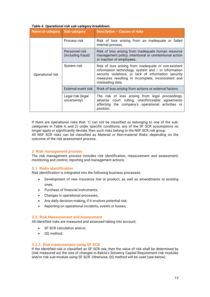| Name of category Sub-category |                                     | Description - Causes of risks                                                                                                                                                                                                                 |  |
|-------------------------------|-------------------------------------|-----------------------------------------------------------------------------------------------------------------------------------------------------------------------------------------------------------------------------------------------|--|
|                               | Process risk                        | Risk of loss arising from an inadequate or failed<br>internal process.                                                                                                                                                                        |  |
|                               | Personnel risk<br>(including fraud) | Risk of loss arising from inadequate human resource<br>management policy, intentional or unintentional action<br>or inaction of employees.                                                                                                    |  |
| Operational risk              | System risk                         | Risk of loss arising from inadequate or non-existent<br>information technology, system and / or information<br>security violations, or lack of information security<br>measures resulting in incomplete, inconsistent and<br>misleading data. |  |
|                               | External event risk                 | Rrisk of loss arising from actions or external factors.                                                                                                                                                                                       |  |
|                               | Legal risk (legal<br>uncertainty)   | The risk of loss arising from legal proceedings,<br>adverse court rulling, unenforceable agreements<br>affecting the company's operational activities or<br>position.                                                                         |  |

#### *Table 4. Operational risk sub-category breakdown.*

If there are operational risks that: 1) can not be classified as belonging to one of the subcategories in Table 4, and 2) under specific conditions, any of the SF SCR assumptions no longer apply or significantly deviate, then such risks belong to the NSF SCR risk group. All NSF SCR risks can be classified as Material or Non-material Risks, depending on the outcome of the risk assessment process.

#### **3. Risk management process**

The risk management process includes risk identification, measurement and assessment, monitoring and control, reporting and management actions.

#### **3.1. Risks identification**

Risk identification is integrated into the following business processes:

- Development of new insurance line or product, as well as amendments to existing ones;
- Purchase of financial instruments;
- Changes in operational processes;
- Any daily decision-making, if it involves potential risk;
- Reporting on operational incidents, events or losses;

#### **3.2. Risk Measurement and Assessment**

All identified risks are measured and assessed taking into account:

- SF SCR calculation and/or:
- QQ method.

#### **3.2.1. Risk measurement using SF SCR**

If the identified risk is classified as SF SCR risk, then the value of risk shall be determined by (risk measured as) the size of changes in Balcia's Solvency Capital Requirement risk modules and/or risk sub-module using SF SCR. Otherwise, QQ method will be used (see below).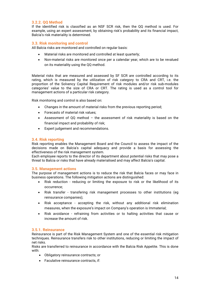#### **3.2.2. QQ Method**

If the identified risk is classified as an NSF SCR risk, then the QQ method is used. For example, using an expert assessment, by obtaining risk's probability and its financial impact, Balcia's risk materiality is determined.

#### **3.3. Risk monitoring and control**

All Balcia risks are monitored and controlled on regular basis:

- Material risks are monitored and controlled at least quarterly;
- Non-material risks are monitored once per a calendar year, which are to be revalued on its materiality using the QQ method.

Material risks that are measured and assessed by SF SCR are controlled according to its rating, which is measured by the utilization of risk category to CRA and CRT, i.e. the proportion of the Solvency Capital Requirement of risk modules and/or risk sub-modules categories' value to the size of CRA or CRT. The rating is used as a control tool for management actions of a particular risk category.

Risk monitoring and control is also based on:

- Changes in the amount of material risks from the previous reporting period;
- Forecasts of material risk values;
- Assessment of QQ method the assessment of risk materiality is based on the financial impact and probability of risk;
- Expert judgement and recommendations.

#### **3.4. Risk reporting**

Risk reporting enables the Management Board and the Council to assess the impact of the decisions made on Balcia's capital adequacy and provide a basis for assessing the effectiveness of the risk management system.

Each employee reports to the director of its department about potential risks that may pose a threat to Balcia or risks that have already materialised and may affect Balcia's capital.

#### **3.5. Management actions**

The purpose of management actions is to reduce the risk that Balcia faces or may face in business operations. The following mitigation actions are distinguished:

- Risk reduction reducing or limiting the exposure to risk or the likelihood of its occurrence;
- Risk transfer transfering risk management processes to other institutions (eg reinsurance companies);
- Risk acceptance accepting the risk, without any additional risk elimination measures, when the exposure's impact on Company's operation is Immaterial;
- Risk avoidance refraining from activities or to halting activities that cause or increase the amount of risk.

#### **3.5.1. Reinsurance**

Reinsurance is part of the Risk Management System and one of the essential risk mitigation techniques. Reinsurance transfers risk to other institutions, reducing or limiting the impact of net risks.

Risks are transferred to reinsurance in accordance with the Balcia Risk Appetite. This is done with:

- Obligatory reinsurance contracts; or
- Faculative reinsurance contracts, if: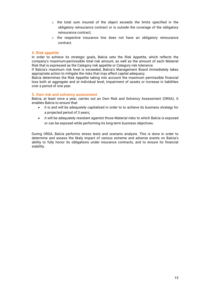- o the total sum insured of the object exceeds the limits specified in the obligatory reinsurance contract or is outside the coverage of the obligatory reinsurance contract;
- $\circ$  the respective insurance line does not have an obligatory reinsurance contract.

#### **4. Risk appetite**

In order to achieve its strategic goals, Balcia sets the Risk Appetite, which reflects the company's maximum-permissible total risk amount, as well as the amount of each Material Risk that is expressed as the Category risk appetite or Category risk tolerance.

If Balcia's maximum risk level is exceeded, Balcia's Management Board immediately takes appropriate action to mitigate the risks that may affect capital adequacy.

Balcia determines the Risk Appetite taking into account the maximum permissible financial loss both at aggregate and at individual level, impairment of assets or increase in liabilities over a period of one year.

#### **5. Own risk and solvency assessment**

Balcia, at least once a year, carries out an Own Risk and Solvency Assessment (ORSA). It enables Balcia to ensure that:

- it is and will be adequately capitalized in order to to achieve its business strategy for a projected period of 3 years;
- it will be adequately resistant againtst those Material risks to which Balcia is exposed or can be exposed while performing its long-term business objectives.

During ORSA, Balcia performs stress tests and scenario analysis. This is done in order to determine and assess the likely impact of various extreme and adverse events on Balcia's ability to fully honor its obligations under insurance contracts, and to ensure its financial stability.